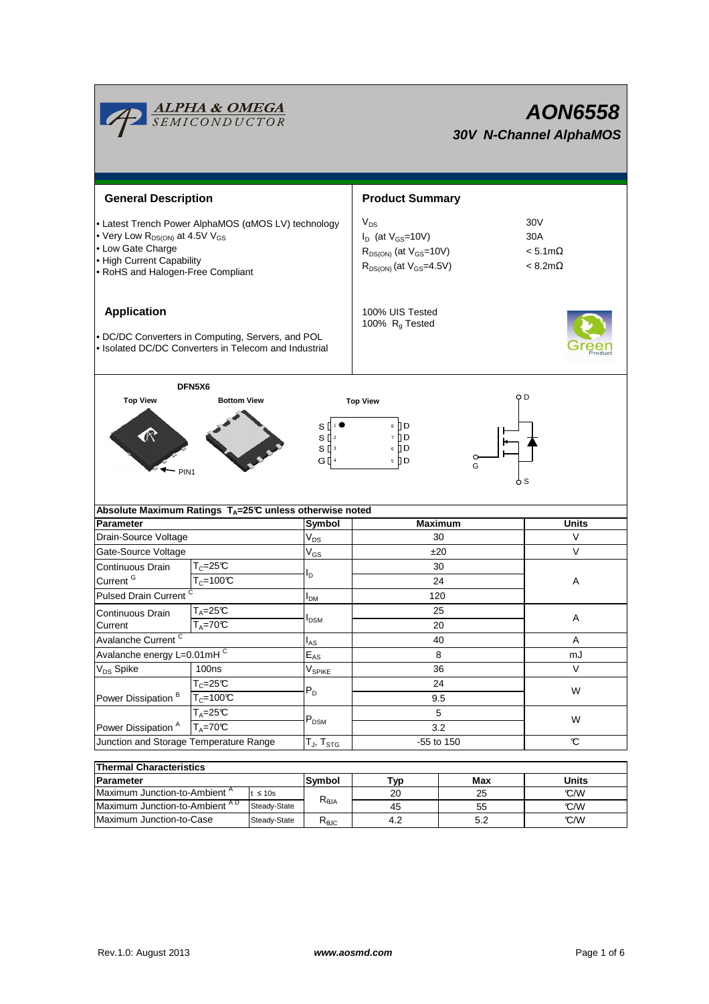

| THEITHAI UNATACLEI ISUCS                 |              |                      |     |     |       |  |  |  |  |  |
|------------------------------------------|--------------|----------------------|-----|-----|-------|--|--|--|--|--|
| Parameter                                |              | <b>Svmbol</b><br>Tvp |     | Max | Units |  |  |  |  |  |
| Maximum Junction-to-Ambient <sup>"</sup> | $\leq 10s$   |                      | 20  | 25  | C/M   |  |  |  |  |  |
| Maximum Junction-to-Ambient AD           | Steady-State | $R_{\theta$ JA       | 45  | 55  | C/M   |  |  |  |  |  |
| Maximum Junction-to-Case                 | Steady-State | Ւ⊕JC                 | 4.2 | 5.2 | C/W   |  |  |  |  |  |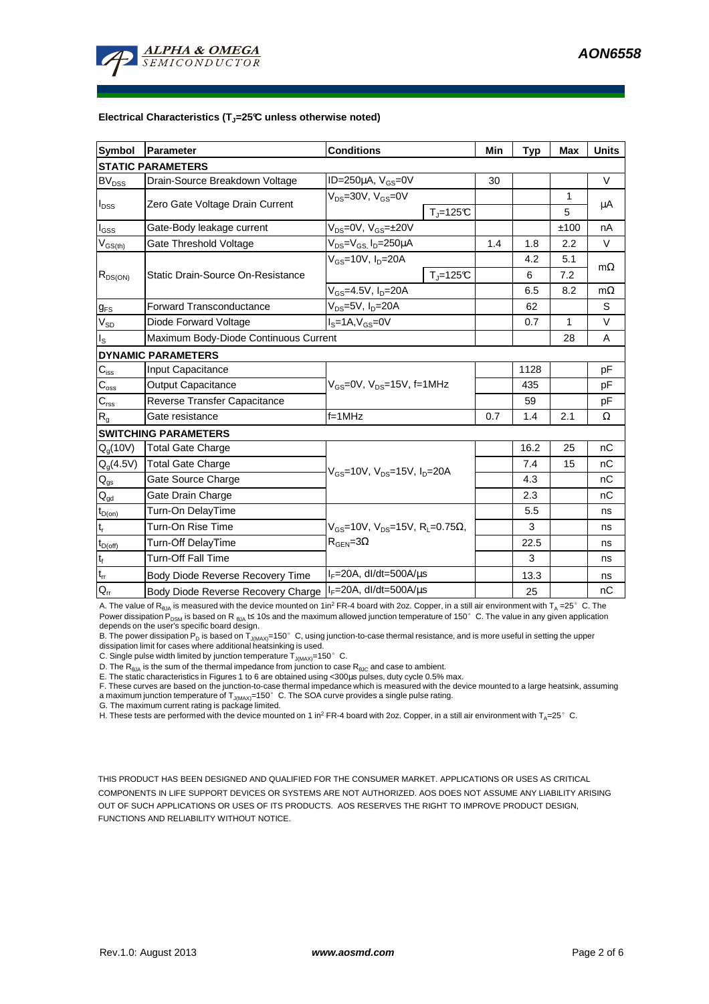

#### **Electrical Characteristics (TJ=25°C unless otherwise noted)**

| <b>Symbol</b>               | Parameter                             | <b>Conditions</b>                        |                                                                    | Min | <b>Typ</b> | <b>Max</b>   | <b>Units</b> |  |  |  |  |
|-----------------------------|---------------------------------------|------------------------------------------|--------------------------------------------------------------------|-----|------------|--------------|--------------|--|--|--|--|
| <b>STATIC PARAMETERS</b>    |                                       |                                          |                                                                    |     |            |              |              |  |  |  |  |
| $BV_{DSS}$                  | Drain-Source Breakdown Voltage        | ID=250 $\mu$ A, V <sub>GS</sub> =0V      |                                                                    | 30  |            |              | $\vee$       |  |  |  |  |
| $I_{DSS}$                   | Zero Gate Voltage Drain Current       | $V_{DS}$ =30V, $V_{GS}$ =0V              |                                                                    |     |            | 1            | μA           |  |  |  |  |
|                             |                                       |                                          | $T_{\parallel} = 125$ °C                                           |     |            | 5            |              |  |  |  |  |
| $I_{GSS}$                   | Gate-Body leakage current             | $V_{DS} = 0V$ , $V_{GS} = \pm 20V$       |                                                                    |     |            | ±100         | nA           |  |  |  |  |
| $V_{GS(th)}$                | Gate Threshold Voltage                | $V_{DS} = V_{GS}$ , $I_D = 250 \mu A$    |                                                                    | 1.4 | 1.8        | 2.2          | V            |  |  |  |  |
| $R_{DS(ON)}$                | Static Drain-Source On-Resistance     | $V_{GS}$ =10V, $I_{D}$ =20A              |                                                                    |     | 4.2        | 5.1          | $m\Omega$    |  |  |  |  |
|                             |                                       |                                          | $T_{\rm J}$ =125 $C$                                               |     | 6          | 7.2          |              |  |  |  |  |
|                             |                                       | $V_{GS}$ =4.5V, $I_D$ =20A               |                                                                    |     | 6.5        | 8.2          | $m\Omega$    |  |  |  |  |
| $g_{FS}$                    | <b>Forward Transconductance</b>       | $V_{DS} = 5V$ , $I_D = 20A$              |                                                                    |     | 62         |              | S            |  |  |  |  |
| $V_{SD}$                    | Diode Forward Voltage                 | $IS=1A, VGS=0V$                          |                                                                    |     | 0.7        | $\mathbf{1}$ | V            |  |  |  |  |
| ıs.                         | Maximum Body-Diode Continuous Current |                                          |                                                                    |     |            | 28           | A            |  |  |  |  |
|                             | <b>DYNAMIC PARAMETERS</b>             |                                          |                                                                    |     |            |              |              |  |  |  |  |
| $C_{\text{iss}}$            | Input Capacitance                     | $V_{GS}$ =0V, $V_{DS}$ =15V, f=1MHz      |                                                                    |     | 1128       |              | pF           |  |  |  |  |
| $C_{\rm oss}$               | <b>Output Capacitance</b>             |                                          |                                                                    |     | 435        |              | рF           |  |  |  |  |
| $C_{\text{rss}}$            | Reverse Transfer Capacitance          |                                          |                                                                    |     | 59         |              | pF           |  |  |  |  |
| $\mathsf{R}_{\mathsf{g}}$   | Gate resistance                       | $f = 1$ MHz                              |                                                                    | 0.7 | 1.4        | 2.1          | Ω            |  |  |  |  |
|                             | <b>SWITCHING PARAMETERS</b>           |                                          |                                                                    |     |            |              |              |  |  |  |  |
| $Q_g(10V)$                  | Total Gate Charge                     | $V_{GS}$ =10V, $V_{DS}$ =15V, $I_D$ =20A |                                                                    |     | 16.2       | 25           | nC           |  |  |  |  |
| $Q_g(4.5V)$                 | <b>Total Gate Charge</b>              |                                          |                                                                    |     | 7.4        | 15           | nC           |  |  |  |  |
| $\mathsf{Q}_{\mathsf{gs}}$  | Gate Source Charge                    |                                          |                                                                    |     | 4.3        |              | nC           |  |  |  |  |
| $\mathsf{Q}_{\mathsf{gd}}$  | Gate Drain Charge                     |                                          |                                                                    |     | 2.3        |              | nC           |  |  |  |  |
| $t_{D(on)}$                 | Turn-On DelayTime                     |                                          |                                                                    |     | 5.5        |              | ns           |  |  |  |  |
| t,                          | Turn-On Rise Time                     |                                          | $V_{\text{GS}}$ =10V, $V_{\text{DS}}$ =15V, $R_{\text{I}}$ =0.75Ω, |     | 3          |              | ns           |  |  |  |  |
| $t_{D(off)}$                | Turn-Off DelayTime                    | $R_{\text{GEN}} = 3\Omega$               |                                                                    |     | 22.5       |              | ns           |  |  |  |  |
| $\mathfrak{t}_{\mathsf{f}}$ | <b>Turn-Off Fall Time</b>             |                                          |                                                                    |     | 3          |              | ns           |  |  |  |  |
| $\mathfrak{t}_{\text{rr}}$  | Body Diode Reverse Recovery Time      | $I_F = 20A$ , dl/dt=500A/ $\mu$ s        |                                                                    |     | 13.3       |              | ns           |  |  |  |  |
| $Q_{rr}$                    | Body Diode Reverse Recovery Charge    | $I_F = 20A$ , dl/dt=500A/us              |                                                                    |     | 25         |              | nC           |  |  |  |  |

A. The value of R<sub>BJA</sub> is measured with the device mounted on 1in<sup>2</sup> FR-4 board with 2oz. Copper, in a still air environment with T<sub>A</sub> =25° C. The Power dissipation P<sub>DSM</sub> is based on R <sub>θJA</sub> t≤ 10s and the maximum allowed junction temperature of 150°C. The value in any given application depends on the user's specific board design.

B. The power dissipation P<sub>D</sub> is based on T<sub>JMAX)</sub>=150°C, using junction-to-case thermal resistance, and is more useful in setting the upper<br>dissipation limit for cases where additional heatsinking is used.

C. Single pulse width limited by junction temperature  $\overline{T}_{J(MAX)}$ =150°C.

D. The  $R_{\theta JA}$  is the sum of the thermal impedance from junction to case  $R_{\theta JC}$  and case to ambient.

E. The static characteristics in Figures 1 to 6 are obtained using <300µs pulses, duty cycle 0.5% max.

F. These curves are based on the junction-to-case thermal impedance which is measured with the device mounted to a large heatsink, assuming a maximum junction temperature of  $T_{J(MAX)}=150^\circ$  C. The SOA curve provides a single pulse rating.

G. The maximum current rating is package limited.

H. These tests are performed with the device mounted on 1 in<sup>2</sup> FR-4 board with 2oz. Copper, in a still air environment with T<sub>A</sub>=25°C.

THIS PRODUCT HAS BEEN DESIGNED AND QUALIFIED FOR THE CONSUMER MARKET. APPLICATIONS OR USES AS CRITICAL COMPONENTS IN LIFE SUPPORT DEVICES OR SYSTEMS ARE NOT AUTHORIZED. AOS DOES NOT ASSUME ANY LIABILITY ARISING OUT OF SUCH APPLICATIONS OR USES OF ITS PRODUCTS. AOS RESERVES THE RIGHT TO IMPROVE PRODUCT DESIGN, FUNCTIONS AND RELIABILITY WITHOUT NOTICE.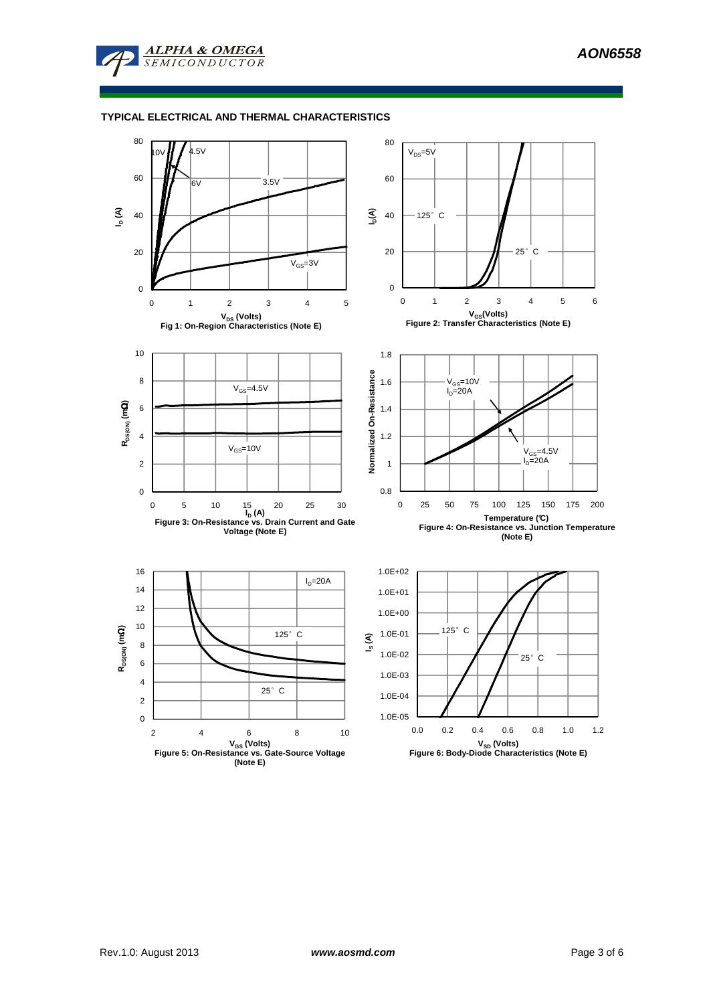

### **TYPICAL ELECTRICAL AND THERMAL CHARACTERISTICS**

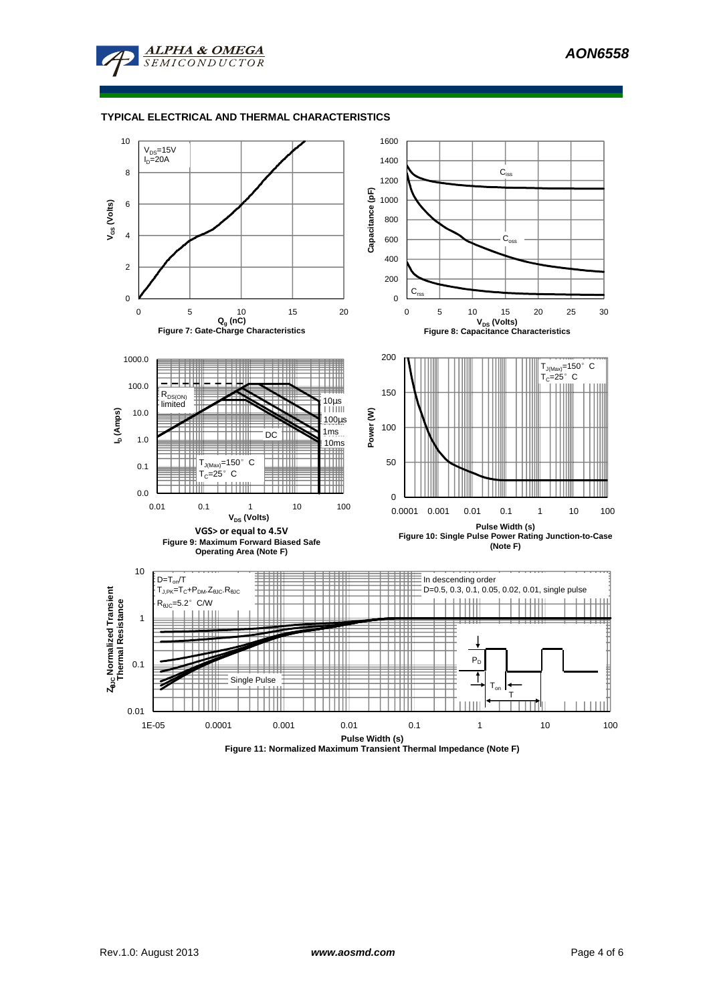

### **TYPICAL ELECTRICAL AND THERMAL CHARACTERISTICS**

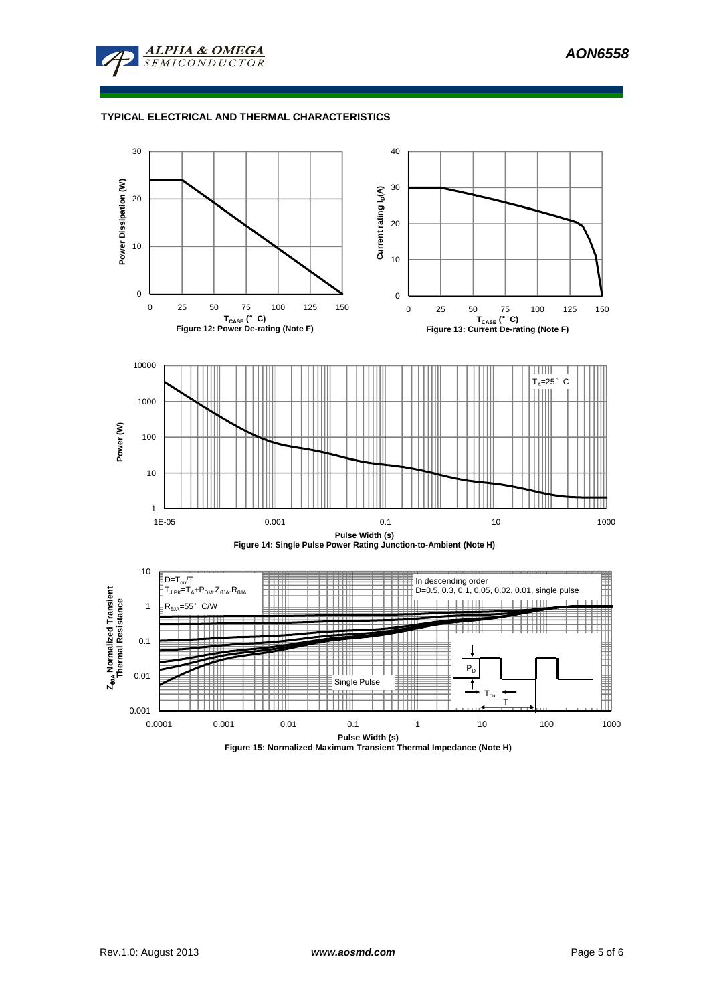

# **TYPICAL ELECTRICAL AND THERMAL CHARACTERISTICS**